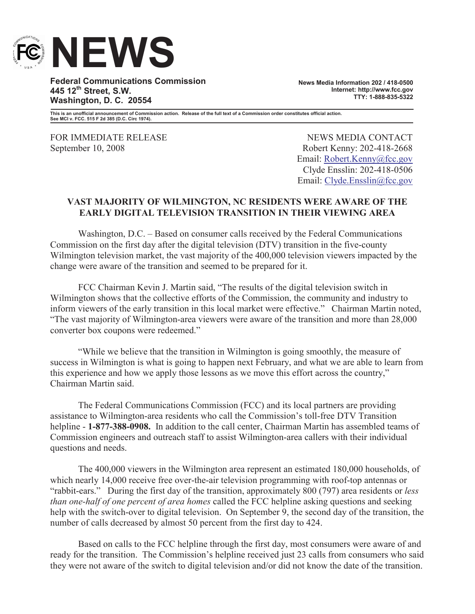

**Federal Communications Commission 445 12th Street, S.W. Washington, D. C. 20554**

**News Media Information 202 / 418-0500 Internet: http://www.fcc.gov TTY: 1-888-835-5322**

**This is an unofficial announcement of Commission action. Release of the full text of a Commission order constitutes official action. See MCI v. FCC. 515 F 2d 385 (D.C. Circ 1974).**

FOR IMMEDIATE RELEASE NEWS MEDIA CONTACT

September 10, 2008 Robert Kenny: 202-418-2668 Email: Robert.Kenny@fcc.gov Clyde Ensslin: 202-418-0506 Email: Clyde.Ensslin@fcc.gov

## **VAST MAJORITY OF WILMINGTON, NC RESIDENTS WERE AWARE OF THE EARLY DIGITAL TELEVISION TRANSITION IN THEIR VIEWING AREA**

Washington, D.C. – Based on consumer calls received by the Federal Communications Commission on the first day after the digital television (DTV) transition in the five-county Wilmington television market, the vast majority of the 400,000 television viewers impacted by the change were aware of the transition and seemed to be prepared for it.

FCC Chairman Kevin J. Martin said, "The results of the digital television switch in Wilmington shows that the collective efforts of the Commission, the community and industry to inform viewers of the early transition in this local market were effective." Chairman Martin noted, "The vast majority of Wilmington-area viewers were aware of the transition and more than 28,000 converter box coupons were redeemed."

"While we believe that the transition in Wilmington is going smoothly, the measure of success in Wilmington is what is going to happen next February, and what we are able to learn from this experience and how we apply those lessons as we move this effort across the country," Chairman Martin said.

The Federal Communications Commission (FCC) and its local partners are providing assistance to Wilmington-area residents who call the Commission's toll-free DTV Transition helpline - **1-877-388-0908.** In addition to the call center, Chairman Martin has assembled teams of Commission engineers and outreach staff to assist Wilmington-area callers with their individual questions and needs.

The 400,000 viewers in the Wilmington area represent an estimated 180,000 households, of which nearly 14,000 receive free over-the-air television programming with roof-top antennas or "rabbit-ears." During the first day of the transition, approximately 800 (797) area residents or *less than one-half of one percent of area homes* called the FCC helpline asking questions and seeking help with the switch-over to digital television. On September 9, the second day of the transition, the number of calls decreased by almost 50 percent from the first day to 424.

Based on calls to the FCC helpline through the first day, most consumers were aware of and ready for the transition. The Commission's helpline received just 23 calls from consumers who said they were not aware of the switch to digital television and/or did not know the date of the transition.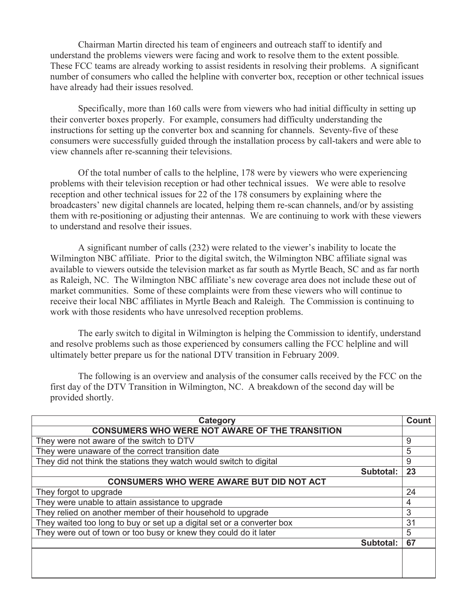Chairman Martin directed his team of engineers and outreach staff to identify and understand the problems viewers were facing and work to resolve them to the extent possible*.*  These FCC teams are already working to assist residents in resolving their problems. A significant number of consumers who called the helpline with converter box, reception or other technical issues have already had their issues resolved.

Specifically, more than 160 calls were from viewers who had initial difficulty in setting up their converter boxes properly. For example, consumers had difficulty understanding the instructions for setting up the converter box and scanning for channels. Seventy-five of these consumers were successfully guided through the installation process by call-takers and were able to view channels after re-scanning their televisions.

Of the total number of calls to the helpline, 178 were by viewers who were experiencing problems with their television reception or had other technical issues. We were able to resolve reception and other technical issues for 22 of the 178 consumers by explaining where the broadcasters' new digital channels are located, helping them re-scan channels, and/or by assisting them with re-positioning or adjusting their antennas. We are continuing to work with these viewers to understand and resolve their issues.

A significant number of calls (232) were related to the viewer's inability to locate the Wilmington NBC affiliate. Prior to the digital switch, the Wilmington NBC affiliate signal was available to viewers outside the television market as far south as Myrtle Beach, SC and as far north as Raleigh, NC. The Wilmington NBC affiliate's new coverage area does not include these out of market communities. Some of these complaints were from these viewers who will continue to receive their local NBC affiliates in Myrtle Beach and Raleigh. The Commission is continuing to work with those residents who have unresolved reception problems.

The early switch to digital in Wilmington is helping the Commission to identify, understand and resolve problems such as those experienced by consumers calling the FCC helpline and will ultimately better prepare us for the national DTV transition in February 2009.

The following is an overview and analysis of the consumer calls received by the FCC on the first day of the DTV Transition in Wilmington, NC. A breakdown of the second day will be provided shortly.

| Category                                                               | <b>Count</b> |
|------------------------------------------------------------------------|--------------|
| <b>CONSUMERS WHO WERE NOT AWARE OF THE TRANSITION</b>                  |              |
| They were not aware of the switch to DTV                               | 9            |
| They were unaware of the correct transition date                       | 5            |
| They did not think the stations they watch would switch to digital     | 9            |
| Subtotal:                                                              | 23           |
| <b>CONSUMERS WHO WERE AWARE BUT DID NOT ACT</b>                        |              |
| They forgot to upgrade                                                 | 24           |
| They were unable to attain assistance to upgrade                       | 4            |
| They relied on another member of their household to upgrade            | 3            |
| They waited too long to buy or set up a digital set or a converter box | 31           |
| They were out of town or too busy or knew they could do it later       | 5            |
| Subtotal:                                                              | 67           |
|                                                                        |              |
|                                                                        |              |
|                                                                        |              |